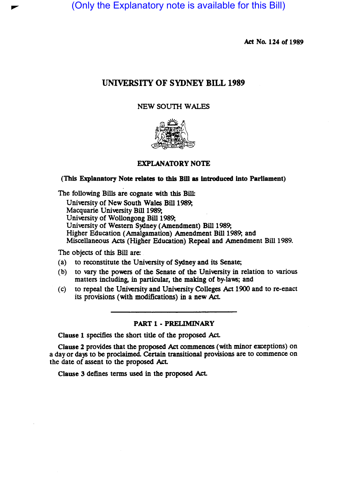(Only the Explanatory note is available for this Bill)

Act No. 124 of 1989

# UNIVERSITY OF SYDNEY BILL 1989

## NEW SOUTH WALES



## EXPLANATORY NOTE

## (This Explanatory Note relates to this Bill as introduced into Parliament)

The following Bills are cognate with this Bill:

University of New South Wales Bill 1989; Macquarie University Bill 1989; University of Wollongong Bill 1989; University of Western Sydney (Amendment) Bill 1989; Higher Education (Amalgamation) Amendment Bill 1989; and Miscellaneous Acts (Higher Education) Repeal and Amendment Bill 1989.

The Objects of this Bill are:

- $(a)$  to reconstitute the University of Sydney and its Senate;
- (b) to vary the powers of the Senate of the University in relation to various matters including, in particular, the making of by-laws; and
- (c) to repeal the University and University Colleges Act 1900 and to re-enact its provisions (with modifications) in a new Act.

#### PART 1 • PRELIMINARY

Clause 1 specifies the short title of the proposed Act.

Clause 2 provides that the proposed Act commences (with minor exceptions) on a day or days to be proclaimed. Certain transitional provisions are to commence on the date of assent to the proposed Act.

Clause 3 defines terms used in the proposed Act.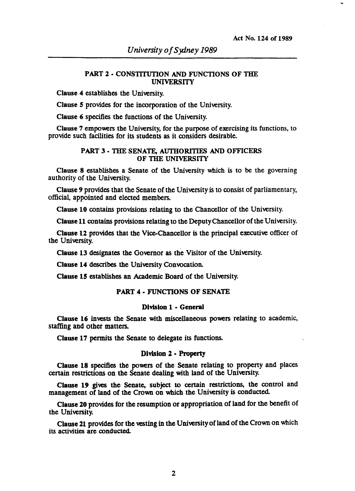#### PART 2 • CONSTITUTION AND FUNCTIONS OF THE UNIVERSITY

Clause 4 establishes the University.

Clause 5 provides for the incorporation of the University.

Clause 6 specifies the functions of the University.

Clause 7 empowers the University, for the purpose of exercising its functions, to provide such facilities for its students as it considers desirable.

#### PART 3· THE SENATE, AUTHORITIES AND OFFICERS OF THE UNIVERSITY

Clause 8 establishes a Senate of the University which is to be the governing authority of the University.

Clause 9 provides that the Senate of the University is to consist of parliamentary, official, appointed and elected members.

Clause 10 contains provisions relating to the Chancellor of the University.

Clause 11 contains provisions relating to the Deputy Chancellor of the University.

Clause 12 provides that the Vice-Chancellor is the principal executive officer of the University.

Clause 13 designates the Governor as the Visitor of the University.

Clause 14 describes the University Convocation.

Clause 15 establishes an Academic Board of the University.

#### PART 4· FUNCTIONS OF SENATE

#### Division 1 - General

Clause 16 invests the Senate with miscellaneous powers relating to academic, staffing and other matters.

Clause 17 permits the Senate to delegate its functions.

#### Division 2 • Property

Clause 18 specifies the powers of the Senate relating to property and places certain restrictions on the Senate dealing with land of the University.

Clause 19 gives the Senate, subject to certain restrictions, the control and management of land of the Crown on which the University is conducted.

Clause 20 provides for the resumption or appropriation of land for the benefit of the University.

Clause 21 provides for the vesting in the University of land of the Crown on which its activities are conducted.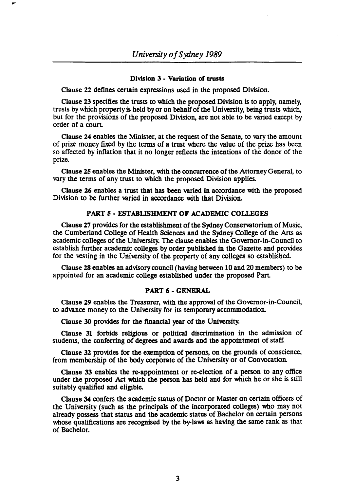#### Division 3 • Variation *01* trusts

Clause 22 defines certain expressions used in the proposed Division.

Clause 23 specifies the trusts to which the proposed Division is to apply, namely. trusts by which property is held by or on behalf of the University, being trusts which, but for the provisions of the proposed Division, are not able to be varied except by order of a court

Clause 24 enables the Minister, at the request of the Senate, to vary the amount of prize money fixed by the terms of a trust where the value of the prize has been so affected by inflation that it no longer reflects the intentions of the donor of the prize.

Clause 25 enables the Minister, with the concurrence of the Attorney General, to vary the terms of any trust to which the proposed Division applies.

Clause 26 enables a trust that has been varied in accordance with the proposed Division to be further varied in accordance with that Division.

## PART 5 • ESTABLISHMENT OF ACADEMIC COLLEGES

Clause 27 provides for the establishment of the Sydney Conservatorium of Music, the Cumberland College of Health Sciences and the Sydney College of the Arts as academic colleges of the University. The clause enables the Governor·in·Council to establish further academic colleges by order published in the Gazette and provides for the vesting in the University of the property of any colleges so established.

Clause 28 enables an advisory council (having between 10 and 20 members) to be appointed for an academic college established under the proposed Part

#### PART 6 • GENERAL

Clause 29 enables the Treasurer, with the approval of the Governor-in-Council, to advance money to the University for its temporary accommodation.

Clause 30 provides for the financial year of the University.

Clause 31 forbids religious or political discrimination in the admission of students, the conferring of degrees and awards and the appointment of staff.

Clause 32 provides for the exemption of persons, on the grounds of conscience, from membership of the body corporate of the University or of Convocation.

Clause 33 enables the re-appointment or re-election of a person to any office under the proposed Act which the person has held and for which he or she is still suitably qualified and eligible.

Clause 34 confers the academic status of Doctor or Master on certain officers of the University (such as the principals of the incorporated colleges) who may not already possess that status and the academic status of Bachelor on certain persons whose qualifications are recognised by the by-laws as having the same rank as that of Bachelor.